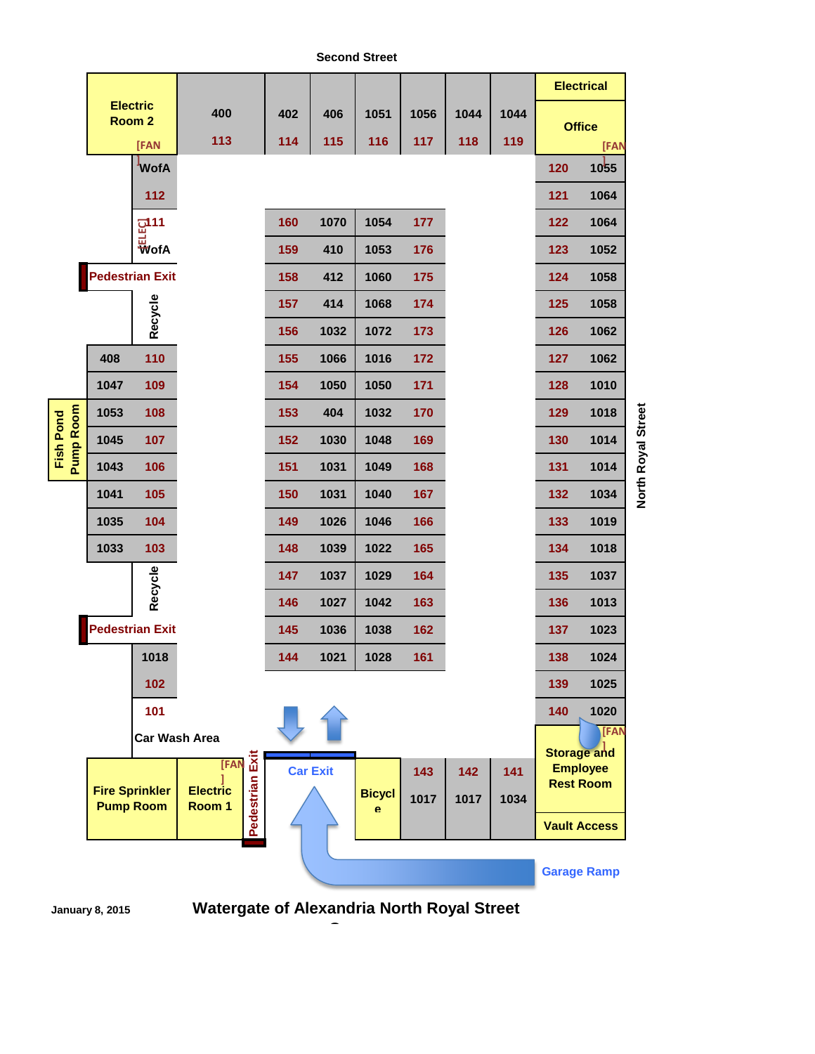**Second Street**





**Watergate of Alexandria North Royal Street Garage**